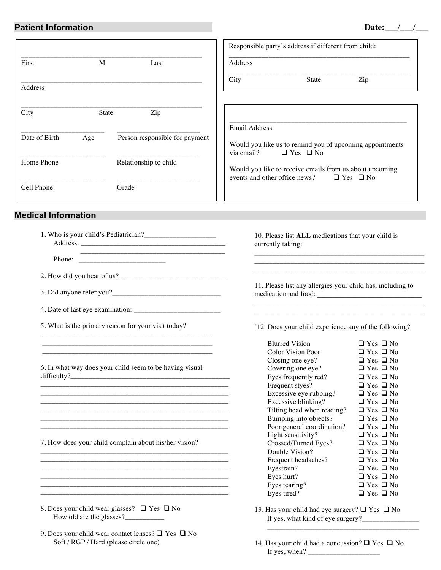## **Patient Information**

| Date: |  |
|-------|--|
|       |  |

|                            |                                | Responsible party's address if different from child:    |                                                    |                                                          |
|----------------------------|--------------------------------|---------------------------------------------------------|----------------------------------------------------|----------------------------------------------------------|
| M<br>First                 | Last                           | Address                                                 |                                                    |                                                          |
| Address                    |                                | City                                                    | State                                              | Zip                                                      |
| City<br><b>State</b>       | Zip                            |                                                         |                                                    |                                                          |
| Date of Birth<br>Age       | Person responsible for payment | <b>Email Address</b><br>via email? $\Box$ Yes $\Box$ No |                                                    | Would you like us to remind you of upcoming appointments |
| Home Phone                 | Relationship to child          |                                                         | events and other office news? $\Box$ Yes $\Box$ No | Would you like to receive emails from us about upcoming  |
| Cell Phone                 | Grade                          |                                                         |                                                    |                                                          |
| <b>Medical Information</b> |                                |                                                         |                                                    |                                                          |
|                            |                                | currently taking:                                       |                                                    | 10. Please list ALL medications that your child is       |
|                            |                                |                                                         |                                                    |                                                          |

11. Please list any allergies your child has, including to medication and food: \_\_\_\_\_\_\_\_\_\_\_\_\_\_\_\_\_\_\_\_\_\_\_\_\_\_\_\_\_

`12. Does your child experience any of the following?

| <b>Blurred Vision</b>      | $\Box$ Yes $\Box$ No |
|----------------------------|----------------------|
| Color Vision Poor          | $\Box$ Yes $\Box$ No |
| Closing one eye?           | $\Box$ Yes $\Box$ No |
| Covering one eye?          | $\Box$ Yes $\Box$ No |
| Eyes frequently red?       | $\Box$ Yes $\Box$ No |
| Frequent styes?            | $\Box$ Yes $\Box$ No |
| Excessive eye rubbing?     | $\Box$ Yes $\Box$ No |
| Excessive blinking?        | $\Box$ Yes $\Box$ No |
| Tilting head when reading? | $\Box$ Yes $\Box$ No |
| Bumping into objects?      | $\Box$ Yes $\Box$ No |
| Poor general coordination? | $\Box$ Yes $\Box$ No |
| Light sensitivity?         | $\Box$ Yes $\Box$ No |
| Crossed/Turned Eyes?       | $\Box$ Yes $\Box$ No |
| Double Vision?             | $\Box$ Yes $\Box$ No |
| Frequent headaches?        | $\Box$ Yes $\Box$ No |
| Eyestrain?                 | $\Box$ Yes $\Box$ No |
| Eyes hurt?                 | $\Box$ Yes $\Box$ No |
| Eyes tearing?              | $\Box$ Yes $\Box$ No |
| Eyes tired?                | $\Box$ Yes $\Box$ No |

13. Has your child had eye surgery?  $\Box$  Yes  $\Box$  No If yes, what kind of eye surgery?\_\_\_\_\_\_\_\_\_\_\_\_\_\_\_\_

\_\_\_\_\_\_\_\_\_\_\_\_\_\_\_\_\_\_\_\_\_\_\_\_\_\_\_\_\_\_\_\_\_\_\_\_\_\_\_\_\_\_

14. Has your child had a concussion?  $\Box$  Yes  $\Box$  No If yes, when? \_\_\_\_\_\_\_\_\_\_\_\_\_\_\_\_\_\_\_\_

- 2. How did you hear of us? \_\_\_\_\_\_\_\_\_\_\_\_\_\_\_\_\_\_\_\_\_\_\_\_\_\_\_\_\_
- 3. Did anyone refer you?\_\_\_\_\_\_\_\_\_\_\_\_\_\_\_\_\_\_\_\_\_\_\_\_\_\_\_\_\_\_

4. Date of last eye examination: \_\_\_\_\_\_\_\_\_\_\_\_\_\_\_\_\_\_\_\_\_\_\_\_

5. What is the primary reason for your visit today?

6. In what way does your child seem to be having visual  $difficulty?$ 

\_\_\_\_\_\_\_\_\_\_\_\_\_\_\_\_\_\_\_\_\_\_\_\_\_\_\_\_\_\_\_\_\_\_\_\_\_\_\_\_\_\_\_\_\_\_\_ \_\_\_\_\_\_\_\_\_\_\_\_\_\_\_\_\_\_\_\_\_\_\_\_\_\_\_\_\_\_\_\_\_\_\_\_\_\_\_\_\_\_\_\_\_\_\_

\_\_\_\_\_\_\_\_\_\_\_\_\_\_\_\_\_\_\_\_\_\_\_\_\_\_\_\_\_\_\_\_\_\_\_\_\_\_\_\_\_\_\_\_\_\_\_\_\_\_\_\_

\_\_\_\_\_\_\_\_\_\_\_\_\_\_\_\_\_\_\_\_\_\_\_\_\_\_\_\_\_\_\_\_\_\_\_\_\_\_\_\_\_\_\_\_\_\_\_\_\_\_\_\_ \_\_\_\_\_\_\_\_\_\_\_\_\_\_\_\_\_\_\_\_\_\_\_\_\_\_\_\_\_\_\_\_\_\_\_\_\_\_\_\_\_\_\_\_\_\_\_\_\_\_\_\_

\_\_\_\_\_\_\_\_\_\_\_\_\_\_\_\_\_\_\_\_\_\_\_\_\_\_\_\_\_\_\_\_\_\_\_\_\_\_\_\_\_\_\_\_\_\_\_\_\_\_\_\_ \_\_\_\_\_\_\_\_\_\_\_\_\_\_\_\_\_\_\_\_\_\_\_\_\_\_\_\_\_\_\_\_\_\_\_\_\_\_\_\_\_\_\_\_\_\_\_\_\_\_\_\_

\_\_\_\_\_\_\_\_\_\_\_\_\_\_\_\_\_\_\_\_\_\_\_\_\_\_\_\_\_\_\_\_\_\_\_\_\_\_\_\_\_\_\_\_\_\_\_\_\_\_\_\_ \_\_\_\_\_\_\_\_\_\_\_\_\_\_\_\_\_\_\_\_\_\_\_\_\_\_\_\_\_\_\_\_\_\_\_\_\_\_\_\_\_\_\_\_\_\_\_\_\_\_\_\_ \_\_\_\_\_\_\_\_\_\_\_\_\_\_\_\_\_\_\_\_\_\_\_\_\_\_\_\_\_\_\_\_\_\_\_\_\_\_\_\_\_\_\_\_\_\_\_\_\_\_\_\_ \_\_\_\_\_\_\_\_\_\_\_\_\_\_\_\_\_\_\_\_\_\_\_\_\_\_\_\_\_\_\_\_\_\_\_\_\_\_\_\_\_\_\_\_\_\_\_\_\_\_\_\_ \_\_\_\_\_\_\_\_\_\_\_\_\_\_\_\_\_\_\_\_\_\_\_\_\_\_\_\_\_\_\_\_\_\_\_\_\_\_\_\_\_\_\_\_\_\_\_\_\_\_\_\_ \_\_\_\_\_\_\_\_\_\_\_\_\_\_\_\_\_\_\_\_\_\_\_\_\_\_\_\_\_\_\_\_\_\_\_\_\_\_\_\_\_\_\_\_\_\_\_\_\_\_\_\_

7. How does your child complain about his/her vision?

- 8. Does your child wear glasses?  $\Box$  Yes  $\Box$  No How old are the glasses?\_\_\_\_\_\_\_\_\_\_\_
- 9. Does your child wear contact lenses?  $\Box$  Yes  $\Box$  No Soft / RGP / Hard (please circle one)